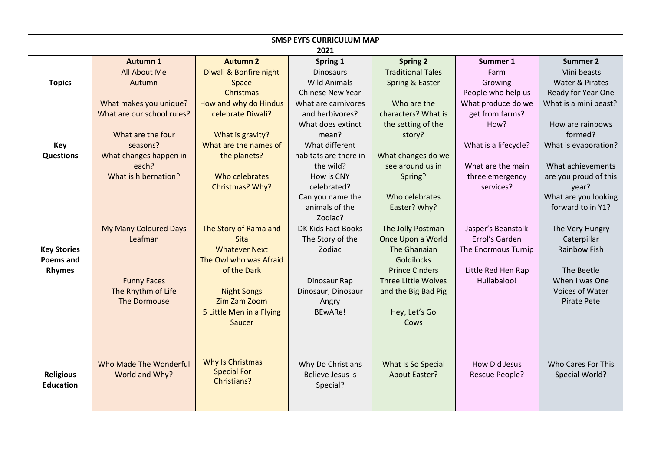| <b>SMSP EYFS CURRICULUM MAP</b> |                            |                                   |                         |                          |                       |                       |  |  |  |
|---------------------------------|----------------------------|-----------------------------------|-------------------------|--------------------------|-----------------------|-----------------------|--|--|--|
| 2021                            |                            |                                   |                         |                          |                       |                       |  |  |  |
|                                 | <b>Autumn 1</b>            | <b>Autumn 2</b>                   | Spring 1                | <b>Spring 2</b>          | Summer 1              | <b>Summer 2</b>       |  |  |  |
|                                 | All About Me               | Diwali & Bonfire night            | <b>Dinosaurs</b>        | <b>Traditional Tales</b> | Farm                  | Mini beasts           |  |  |  |
| <b>Topics</b>                   | Autumn                     | Space                             | <b>Wild Animals</b>     | Spring & Easter          | Growing               | Water & Pirates       |  |  |  |
|                                 |                            | Christmas                         | Chinese New Year        |                          | People who help us    | Ready for Year One    |  |  |  |
|                                 | What makes you unique?     | How and why do Hindus             | What are carnivores     | Who are the              | What produce do we    | What is a mini beast? |  |  |  |
|                                 | What are our school rules? | celebrate Diwali?                 | and herbivores?         | characters? What is      | get from farms?       |                       |  |  |  |
|                                 |                            |                                   | What does extinct       | the setting of the       | How?                  | How are rainbows      |  |  |  |
|                                 | What are the four          | What is gravity?                  | mean?                   | story?                   |                       | formed?               |  |  |  |
| <b>Key</b>                      | seasons?                   | What are the names of             | What different          |                          | What is a lifecycle?  | What is evaporation?  |  |  |  |
| <b>Questions</b>                | What changes happen in     | the planets?                      | habitats are there in   | What changes do we       |                       |                       |  |  |  |
|                                 | each?                      |                                   | the wild?               | see around us in         | What are the main     | What achievements     |  |  |  |
|                                 | What is hibernation?       | Who celebrates                    | How is CNY              | Spring?                  | three emergency       | are you proud of this |  |  |  |
|                                 |                            | Christmas? Why?                   | celebrated?             |                          | services?             | year?                 |  |  |  |
|                                 |                            |                                   | Can you name the        | Who celebrates           |                       | What are you looking  |  |  |  |
|                                 |                            |                                   | animals of the          | Easter? Why?             |                       | forward to in Y1?     |  |  |  |
|                                 |                            |                                   | Zodiac?                 |                          |                       |                       |  |  |  |
|                                 | My Many Coloured Days      | The Story of Rama and             | DK Kids Fact Books      | The Jolly Postman        | Jasper's Beanstalk    | The Very Hungry       |  |  |  |
|                                 | Leafman                    | <b>Sita</b>                       | The Story of the        | Once Upon a World        | Errol's Garden        | Caterpillar           |  |  |  |
| <b>Key Stories</b>              |                            | <b>Whatever Next</b>              | Zodiac                  | The Ghanaian             | The Enormous Turnip   | <b>Rainbow Fish</b>   |  |  |  |
| <b>Poems and</b>                |                            | The Owl who was Afraid            |                         | <b>Goldilocks</b>        |                       |                       |  |  |  |
| <b>Rhymes</b>                   |                            | of the Dark                       |                         | <b>Prince Cinders</b>    | Little Red Hen Rap    | The Beetle            |  |  |  |
|                                 | <b>Funny Faces</b>         |                                   | Dinosaur Rap            | Three Little Wolves      | Hullabaloo!           | When I was One        |  |  |  |
|                                 | The Rhythm of Life         | <b>Night Songs</b>                | Dinosaur, Dinosaur      | and the Big Bad Pig      |                       | Voices of Water       |  |  |  |
|                                 | The Dormouse               | Zim Zam Zoom                      | Angry                   |                          |                       | <b>Pirate Pete</b>    |  |  |  |
|                                 |                            | 5 Little Men in a Flying          | BEwARe!                 | Hey, Let's Go            |                       |                       |  |  |  |
|                                 |                            | Saucer                            |                         | Cows                     |                       |                       |  |  |  |
|                                 |                            |                                   |                         |                          |                       |                       |  |  |  |
|                                 |                            |                                   |                         |                          |                       |                       |  |  |  |
|                                 |                            |                                   |                         |                          |                       |                       |  |  |  |
|                                 | Who Made The Wonderful     | Why Is Christmas                  | Why Do Christians       | What Is So Special       | <b>How Did Jesus</b>  | Who Cares For This    |  |  |  |
| <b>Religious</b>                | World and Why?             | <b>Special For</b><br>Christians? | <b>Believe Jesus Is</b> | <b>About Easter?</b>     | <b>Rescue People?</b> | Special World?        |  |  |  |
| <b>Education</b>                |                            |                                   | Special?                |                          |                       |                       |  |  |  |
|                                 |                            |                                   |                         |                          |                       |                       |  |  |  |
|                                 |                            |                                   |                         |                          |                       |                       |  |  |  |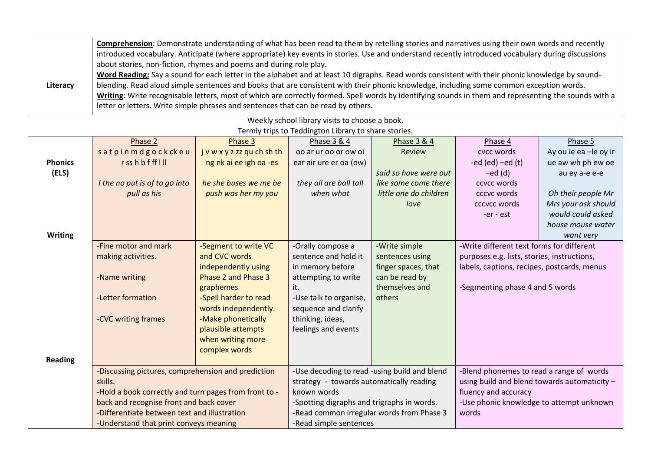| Literacy                                                                                               | Comprehension: Demonstrate understanding of what has been read to them by retelling stories and narratives using their own words and recently<br>introduced vocabulary. Anticipate (where appropriate) key events in stories. Use and understand recently introduced vocabulary during discussions<br>about stories, non-fiction, rhymes and poems and during role play.<br>Word Reading: Say a sound for each letter in the alphabet and at least 10 digraphs. Read words consistent with their phonic knowledge by sound-<br>blending. Read aloud simple sentences and books that are consistent with their phonic knowledge, including some common exception words.<br>Writing: Write recognisable letters, most of which are correctly formed. Spell words by identifying sounds in them and representing the sounds with a<br>letter or letters. Write simple phrases and sentences that can be read by others. |                                                                                                                                                                                                                                                  |                                                                                                                                                                                          |                                                                                                                                                                                                                              |                                                                                                                                                                            |                                                                                                                                                                            |  |  |
|--------------------------------------------------------------------------------------------------------|----------------------------------------------------------------------------------------------------------------------------------------------------------------------------------------------------------------------------------------------------------------------------------------------------------------------------------------------------------------------------------------------------------------------------------------------------------------------------------------------------------------------------------------------------------------------------------------------------------------------------------------------------------------------------------------------------------------------------------------------------------------------------------------------------------------------------------------------------------------------------------------------------------------------|--------------------------------------------------------------------------------------------------------------------------------------------------------------------------------------------------------------------------------------------------|------------------------------------------------------------------------------------------------------------------------------------------------------------------------------------------|------------------------------------------------------------------------------------------------------------------------------------------------------------------------------------------------------------------------------|----------------------------------------------------------------------------------------------------------------------------------------------------------------------------|----------------------------------------------------------------------------------------------------------------------------------------------------------------------------|--|--|
| Weekly school library visits to choose a book.<br>Termly trips to Teddington Library to share stories. |                                                                                                                                                                                                                                                                                                                                                                                                                                                                                                                                                                                                                                                                                                                                                                                                                                                                                                                      |                                                                                                                                                                                                                                                  |                                                                                                                                                                                          |                                                                                                                                                                                                                              |                                                                                                                                                                            |                                                                                                                                                                            |  |  |
| <b>Phonics</b><br>(ELS)<br><b>Writing</b>                                                              | Phase 2<br>satpinmdgockckeu<br>rsshbffflll<br>I the no put is of to go into<br>pull as his                                                                                                                                                                                                                                                                                                                                                                                                                                                                                                                                                                                                                                                                                                                                                                                                                           | Phase 3<br>j v w x y z zz qu ch sh th<br>ng nk ai ee igh oa -es<br>he she buses we me be<br>push was her my you                                                                                                                                  | Phase 3 & 4<br>oo ar ur oo or ow oi<br>ear air ure er oa (ow)<br>they all are ball tall<br>when what                                                                                     | <b>Phase 3 &amp; 4</b><br><b>Review</b><br>said so have were out<br>like some come there<br>little one do children<br>love                                                                                                   | Phase 4<br>cvcc words<br>-ed $(ed)$ -ed $(t)$<br>$-ed$ (d)<br>ccycc words<br>cccvc words<br>cccvcc words<br>-er - est                                                      | Phase 5<br>Ay ou ie ea -le oy ir<br>ue aw wh ph ew oe<br>au ey a-e e-e<br>Oh their people Mr<br>Mrs your ask should<br>would could asked<br>house mouse water<br>want very |  |  |
| <b>Reading</b>                                                                                         | -Fine motor and mark<br>making activities.<br>-Name writing<br>-Letter formation<br>-CVC writing frames                                                                                                                                                                                                                                                                                                                                                                                                                                                                                                                                                                                                                                                                                                                                                                                                              | -Segment to write VC<br>and CVC words<br>independently using<br>Phase 2 and Phase 3<br>graphemes<br>-Spell harder to read<br>words independently.<br>-Make phonetically<br>plausible attempts<br>when writing more<br>complex words              | -Orally compose a<br>sentence and hold it<br>in memory before<br>attempting to write<br>it.<br>-Use talk to organise,<br>sequence and clarify<br>thinking, ideas,<br>feelings and events | -Write simple<br>sentences using<br>finger spaces, that<br>can be read by<br>themselves and<br>others                                                                                                                        | -Write different text forms for different<br>purposes e.g. lists, stories, instructions,<br>labels, captions, recipes, postcards, menus<br>-Segmenting phase 4 and 5 words |                                                                                                                                                                            |  |  |
|                                                                                                        | skills.                                                                                                                                                                                                                                                                                                                                                                                                                                                                                                                                                                                                                                                                                                                                                                                                                                                                                                              | -Discussing pictures, comprehension and prediction<br>-Hold a book correctly and turn pages from front to -<br>back and recognise front and back cover<br>-Differentiate between text and illustration<br>-Understand that print conveys meaning |                                                                                                                                                                                          | -Use decoding to read -using build and blend<br>strategy - towards automatically reading<br>known words<br>-Spotting digraphs and trigraphs in words.<br>-Read common irregular words from Phase 3<br>-Read simple sentences |                                                                                                                                                                            | -Blend phonemes to read a range of words<br>using build and blend towards automaticity -<br>fluency and accuracy<br>-Use phonic knowledge to attempt unknown<br>words      |  |  |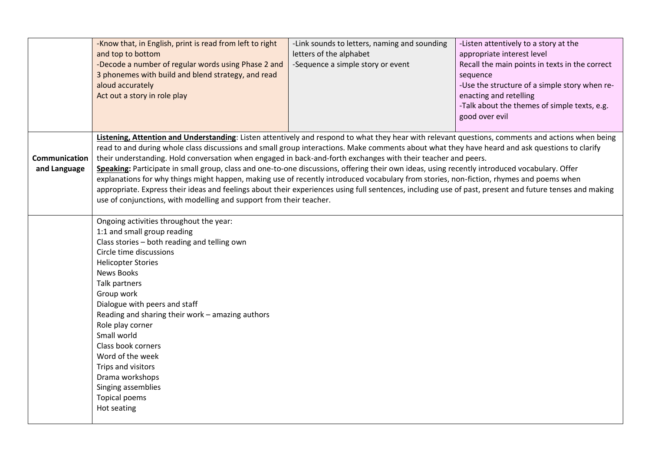|                               | -Know that, in English, print is read from left to right<br>and top to bottom<br>-Decode a number of regular words using Phase 2 and<br>3 phonemes with build and blend strategy, and read<br>aloud accurately<br>Act out a story in role play                                                                                                                                                                                                                                                                                                                                                                                                                                                                                                                                                                                                                                                                                                     | -Link sounds to letters, naming and sounding<br>letters of the alphabet<br>-Sequence a simple story or event | -Listen attentively to a story at the<br>appropriate interest level<br>Recall the main points in texts in the correct<br>sequence<br>-Use the structure of a simple story when re-<br>enacting and retelling<br>-Talk about the themes of simple texts, e.g.<br>good over evil |
|-------------------------------|----------------------------------------------------------------------------------------------------------------------------------------------------------------------------------------------------------------------------------------------------------------------------------------------------------------------------------------------------------------------------------------------------------------------------------------------------------------------------------------------------------------------------------------------------------------------------------------------------------------------------------------------------------------------------------------------------------------------------------------------------------------------------------------------------------------------------------------------------------------------------------------------------------------------------------------------------|--------------------------------------------------------------------------------------------------------------|--------------------------------------------------------------------------------------------------------------------------------------------------------------------------------------------------------------------------------------------------------------------------------|
| Communication<br>and Language | Listening, Attention and Understanding: Listen attentively and respond to what they hear with relevant questions, comments and actions when being<br>read to and during whole class discussions and small group interactions. Make comments about what they have heard and ask questions to clarify<br>their understanding. Hold conversation when engaged in back-and-forth exchanges with their teacher and peers.<br>Speaking: Participate in small group, class and one-to-one discussions, offering their own ideas, using recently introduced vocabulary. Offer<br>explanations for why things might happen, making use of recently introduced vocabulary from stories, non-fiction, rhymes and poems when<br>appropriate. Express their ideas and feelings about their experiences using full sentences, including use of past, present and future tenses and making<br>use of conjunctions, with modelling and support from their teacher. |                                                                                                              |                                                                                                                                                                                                                                                                                |
|                               | Ongoing activities throughout the year:<br>1:1 and small group reading<br>Class stories - both reading and telling own<br>Circle time discussions<br><b>Helicopter Stories</b><br><b>News Books</b><br>Talk partners<br>Group work<br>Dialogue with peers and staff<br>Reading and sharing their work - amazing authors<br>Role play corner<br>Small world<br>Class book corners<br>Word of the week<br>Trips and visitors<br>Drama workshops<br>Singing assemblies<br><b>Topical poems</b><br>Hot seating                                                                                                                                                                                                                                                                                                                                                                                                                                         |                                                                                                              |                                                                                                                                                                                                                                                                                |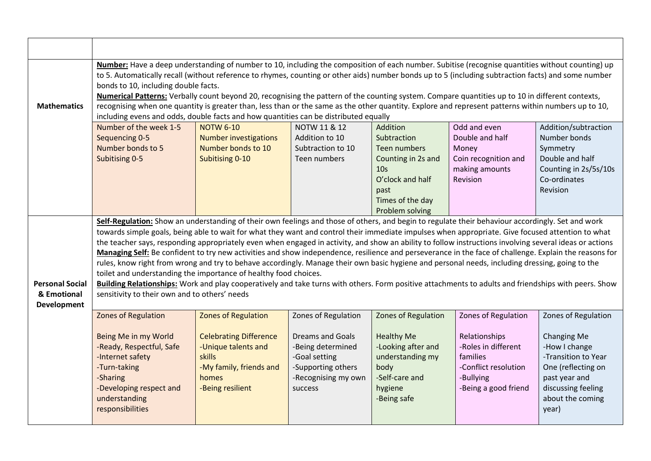| <b>Mathematics</b>                                          | Number: Have a deep understanding of number to 10, including the composition of each number. Subitise (recognise quantities without counting) up<br>to 5. Automatically recall (without reference to rhymes, counting or other aids) number bonds up to 5 (including subtraction facts) and some number<br>bonds to 10, including double facts.<br>Numerical Patterns: Verbally count beyond 20, recognising the pattern of the counting system. Compare quantities up to 10 in different contexts,<br>recognising when one quantity is greater than, less than or the same as the other quantity. Explore and represent patterns within numbers up to 10,<br>including evens and odds, double facts and how quantities can be distributed equally                                                                                                                                                     |                                                                                                                                                      |                                                                                                                                              |                                                                                                                                               |                                                                                                                                      |                                                                                                                                                                    |  |
|-------------------------------------------------------------|--------------------------------------------------------------------------------------------------------------------------------------------------------------------------------------------------------------------------------------------------------------------------------------------------------------------------------------------------------------------------------------------------------------------------------------------------------------------------------------------------------------------------------------------------------------------------------------------------------------------------------------------------------------------------------------------------------------------------------------------------------------------------------------------------------------------------------------------------------------------------------------------------------|------------------------------------------------------------------------------------------------------------------------------------------------------|----------------------------------------------------------------------------------------------------------------------------------------------|-----------------------------------------------------------------------------------------------------------------------------------------------|--------------------------------------------------------------------------------------------------------------------------------------|--------------------------------------------------------------------------------------------------------------------------------------------------------------------|--|
|                                                             | Number of the week 1-5                                                                                                                                                                                                                                                                                                                                                                                                                                                                                                                                                                                                                                                                                                                                                                                                                                                                                 | <b>NOTW 6-10</b>                                                                                                                                     | NOTW 11 & 12                                                                                                                                 | Addition                                                                                                                                      | Odd and even                                                                                                                         | Addition/subtraction                                                                                                                                               |  |
|                                                             | Sequencing 0-5                                                                                                                                                                                                                                                                                                                                                                                                                                                                                                                                                                                                                                                                                                                                                                                                                                                                                         | <b>Number investigations</b>                                                                                                                         | Addition to 10                                                                                                                               | Subtraction                                                                                                                                   | Double and half                                                                                                                      | Number bonds                                                                                                                                                       |  |
|                                                             | Number bonds to 5                                                                                                                                                                                                                                                                                                                                                                                                                                                                                                                                                                                                                                                                                                                                                                                                                                                                                      | Number bonds to 10                                                                                                                                   | Subtraction to 10                                                                                                                            | <b>Teen numbers</b>                                                                                                                           | Money                                                                                                                                | Symmetry                                                                                                                                                           |  |
|                                                             | Subitising 0-5                                                                                                                                                                                                                                                                                                                                                                                                                                                                                                                                                                                                                                                                                                                                                                                                                                                                                         | Subitising 0-10                                                                                                                                      | Teen numbers                                                                                                                                 | Counting in 2s and                                                                                                                            | Coin recognition and                                                                                                                 | Double and half                                                                                                                                                    |  |
|                                                             |                                                                                                                                                                                                                                                                                                                                                                                                                                                                                                                                                                                                                                                                                                                                                                                                                                                                                                        |                                                                                                                                                      |                                                                                                                                              | 10 <sub>s</sub>                                                                                                                               | making amounts                                                                                                                       | Counting in 2s/5s/10s                                                                                                                                              |  |
|                                                             |                                                                                                                                                                                                                                                                                                                                                                                                                                                                                                                                                                                                                                                                                                                                                                                                                                                                                                        |                                                                                                                                                      |                                                                                                                                              | O'clock and half                                                                                                                              | Revision                                                                                                                             | Co-ordinates                                                                                                                                                       |  |
|                                                             |                                                                                                                                                                                                                                                                                                                                                                                                                                                                                                                                                                                                                                                                                                                                                                                                                                                                                                        |                                                                                                                                                      |                                                                                                                                              | past                                                                                                                                          |                                                                                                                                      | Revision                                                                                                                                                           |  |
|                                                             |                                                                                                                                                                                                                                                                                                                                                                                                                                                                                                                                                                                                                                                                                                                                                                                                                                                                                                        |                                                                                                                                                      |                                                                                                                                              | Times of the day<br>Problem solving                                                                                                           |                                                                                                                                      |                                                                                                                                                                    |  |
|                                                             | Self-Regulation: Show an understanding of their own feelings and those of others, and begin to regulate their behaviour accordingly. Set and work                                                                                                                                                                                                                                                                                                                                                                                                                                                                                                                                                                                                                                                                                                                                                      |                                                                                                                                                      |                                                                                                                                              |                                                                                                                                               |                                                                                                                                      |                                                                                                                                                                    |  |
| <b>Personal Social</b><br>& Emotional<br><b>Development</b> | towards simple goals, being able to wait for what they want and control their immediate impulses when appropriate. Give focused attention to what<br>the teacher says, responding appropriately even when engaged in activity, and show an ability to follow instructions involving several ideas or actions<br>Managing Self: Be confident to try new activities and show independence, resilience and perseverance in the face of challenge. Explain the reasons for<br>rules, know right from wrong and try to behave accordingly. Manage their own basic hygiene and personal needs, including dressing, going to the<br>toilet and understanding the importance of healthy food choices.<br>Building Relationships: Work and play cooperatively and take turns with others. Form positive attachments to adults and friendships with peers. Show<br>sensitivity to their own and to others' needs |                                                                                                                                                      |                                                                                                                                              |                                                                                                                                               |                                                                                                                                      |                                                                                                                                                                    |  |
|                                                             | <b>Zones of Regulation</b><br>Being Me in my World<br>-Ready, Respectful, Safe<br>-Internet safety<br>-Turn-taking<br>-Sharing<br>-Developing respect and<br>understanding                                                                                                                                                                                                                                                                                                                                                                                                                                                                                                                                                                                                                                                                                                                             | <b>Zones of Regulation</b><br><b>Celebrating Difference</b><br>-Unique talents and<br>skills<br>-My family, friends and<br>homes<br>-Being resilient | Zones of Regulation<br><b>Dreams and Goals</b><br>-Being determined<br>-Goal setting<br>-Supporting others<br>-Recognising my own<br>success | <b>Zones of Regulation</b><br><b>Healthy Me</b><br>-Looking after and<br>understanding my<br>body<br>-Self-care and<br>hygiene<br>-Being safe | Zones of Regulation<br>Relationships<br>-Roles in different<br>families<br>-Conflict resolution<br>-Bullying<br>-Being a good friend | Zones of Regulation<br><b>Changing Me</b><br>-How I change<br>-Transition to Year<br>One (reflecting on<br>past year and<br>discussing feeling<br>about the coming |  |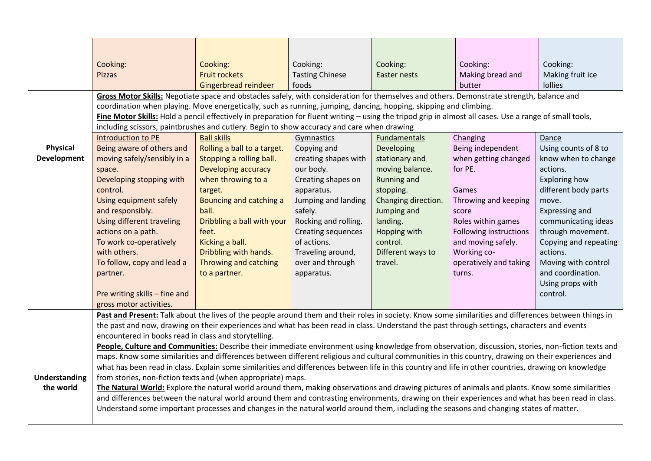|                      | Cooking:                                                                                                                                                | Cooking:                    | Cooking:                                 | Cooking:                 | Cooking:                                     | Cooking:                          |  |
|----------------------|---------------------------------------------------------------------------------------------------------------------------------------------------------|-----------------------------|------------------------------------------|--------------------------|----------------------------------------------|-----------------------------------|--|
|                      | Pizzas                                                                                                                                                  | <b>Fruit rockets</b>        | <b>Tasting Chinese</b>                   | <b>Easter nests</b>      | Making bread and                             | Making fruit ice                  |  |
|                      |                                                                                                                                                         | Gingerbread reindeer        | foods                                    |                          | butter                                       | <b>lollies</b>                    |  |
|                      | Gross Motor Skills: Negotiate space and obstacles safely, with consideration for themselves and others. Demonstrate strength, balance and               |                             |                                          |                          |                                              |                                   |  |
|                      | coordination when playing. Move energetically, such as running, jumping, dancing, hopping, skipping and climbing.                                       |                             |                                          |                          |                                              |                                   |  |
|                      | Fine Motor Skills: Hold a pencil effectively in preparation for fluent writing - using the tripod grip in almost all cases. Use a range of small tools, |                             |                                          |                          |                                              |                                   |  |
|                      | including scissors, paintbrushes and cutlery. Begin to show accuracy and care when drawing                                                              |                             |                                          |                          |                                              |                                   |  |
|                      | Introduction to PE                                                                                                                                      | <b>Ball skills</b>          | Gymnastics                               | <b>Fundamentals</b>      | Changing                                     | Dance                             |  |
| <b>Physical</b>      | Being aware of others and                                                                                                                               | Rolling a ball to a target. | Copying and                              | Developing               | Being independent                            | Using counts of 8 to              |  |
| <b>Development</b>   | moving safely/sensibly in a                                                                                                                             | Stopping a rolling ball.    | creating shapes with                     | stationary and           | when getting changed                         | know when to change               |  |
|                      | space.                                                                                                                                                  | <b>Developing accuracy</b>  | our body.                                | moving balance.          | for PE.                                      | actions.                          |  |
|                      | Developing stopping with                                                                                                                                | when throwing to a          | Creating shapes on                       | Running and              |                                              | <b>Exploring how</b>              |  |
|                      | control.                                                                                                                                                | target.                     | apparatus.                               | stopping.                | Games                                        | different body parts              |  |
|                      | Using equipment safely                                                                                                                                  | Bouncing and catching a     | Jumping and landing                      | Changing direction.      | Throwing and keeping                         | move.                             |  |
|                      | and responsibly.                                                                                                                                        | ball.                       | safely.                                  | Jumping and              | score                                        | Expressing and                    |  |
|                      | Using different traveling                                                                                                                               | Dribbling a ball with your  | Rocking and rolling.                     | landing.                 | Roles within games                           | communicating ideas               |  |
|                      | actions on a path.<br>To work co-operatively                                                                                                            | feet.<br>Kicking a ball.    | <b>Creating sequences</b><br>of actions. | Hopping with<br>control. | Following instructions<br>and moving safely. | through movement.                 |  |
|                      | with others.                                                                                                                                            | Dribbling with hands.       | Traveling around,                        | Different ways to        | Working co-                                  | Copying and repeating<br>actions. |  |
|                      | To follow, copy and lead a                                                                                                                              | Throwing and catching       | over and through                         | travel.                  | operatively and taking                       | Moving with control               |  |
|                      | partner.                                                                                                                                                | to a partner.               | apparatus.                               |                          | turns.                                       | and coordination.                 |  |
|                      |                                                                                                                                                         |                             |                                          |                          |                                              | Using props with                  |  |
|                      | Pre writing skills - fine and                                                                                                                           |                             |                                          |                          |                                              | control.                          |  |
|                      | gross motor activities.                                                                                                                                 |                             |                                          |                          |                                              |                                   |  |
|                      | Past and Present: Talk about the lives of the people around them and their roles in society. Know some similarities and differences between things in   |                             |                                          |                          |                                              |                                   |  |
|                      | the past and now, drawing on their experiences and what has been read in class. Understand the past through settings, characters and events             |                             |                                          |                          |                                              |                                   |  |
|                      | encountered in books read in class and storytelling.                                                                                                    |                             |                                          |                          |                                              |                                   |  |
|                      | People, Culture and Communities: Describe their immediate environment using knowledge from observation, discussion, stories, non-fiction texts and      |                             |                                          |                          |                                              |                                   |  |
|                      | maps. Know some similarities and differences between different religious and cultural communities in this country, drawing on their experiences and     |                             |                                          |                          |                                              |                                   |  |
|                      | what has been read in class. Explain some similarities and differences between life in this country and life in other countries, drawing on knowledge   |                             |                                          |                          |                                              |                                   |  |
| <b>Understanding</b> | from stories, non-fiction texts and (when appropriate) maps.                                                                                            |                             |                                          |                          |                                              |                                   |  |
| the world            | The Natural World: Explore the natural world around them, making observations and drawing pictures of animals and plants. Know some similarities        |                             |                                          |                          |                                              |                                   |  |
|                      | and differences between the natural world around them and contrasting environments, drawing on their experiences and what has been read in class.       |                             |                                          |                          |                                              |                                   |  |
|                      | Understand some important processes and changes in the natural world around them, including the seasons and changing states of matter.                  |                             |                                          |                          |                                              |                                   |  |
|                      |                                                                                                                                                         |                             |                                          |                          |                                              |                                   |  |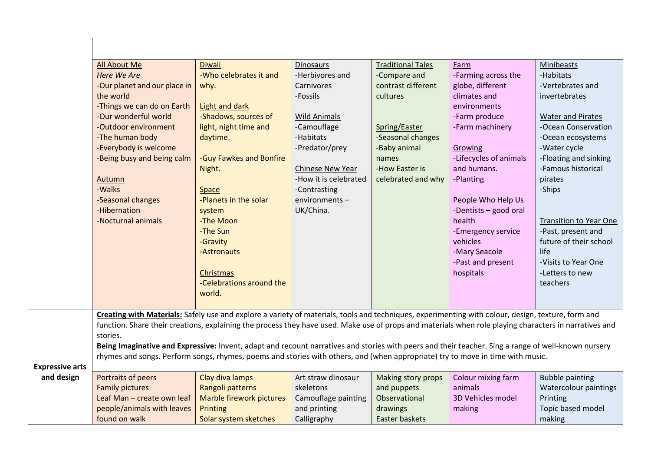|                        | All About Me                                                                                                                                                                                                                                                                                                                                                                                                                                                                    | <b>Diwali</b>            | <b>Dinosaurs</b>      | <b>Traditional Tales</b> | Farm                   | <b>Minibeasts</b>             |  |  |
|------------------------|---------------------------------------------------------------------------------------------------------------------------------------------------------------------------------------------------------------------------------------------------------------------------------------------------------------------------------------------------------------------------------------------------------------------------------------------------------------------------------|--------------------------|-----------------------|--------------------------|------------------------|-------------------------------|--|--|
|                        | <b>Here We Are</b>                                                                                                                                                                                                                                                                                                                                                                                                                                                              | -Who celebrates it and   | -Herbivores and       | -Compare and             | -Farming across the    | -Habitats                     |  |  |
|                        | -Our planet and our place in                                                                                                                                                                                                                                                                                                                                                                                                                                                    | why.                     | Carnivores            | contrast different       | globe, different       | -Vertebrates and              |  |  |
|                        | the world                                                                                                                                                                                                                                                                                                                                                                                                                                                                       |                          | -Fossils              | cultures                 | climates and           | invertebrates                 |  |  |
|                        | -Things we can do on Earth                                                                                                                                                                                                                                                                                                                                                                                                                                                      | <b>Light and dark</b>    |                       |                          | environments           |                               |  |  |
|                        | -Our wonderful world                                                                                                                                                                                                                                                                                                                                                                                                                                                            | -Shadows, sources of     | <b>Wild Animals</b>   |                          | -Farm produce          | <b>Water and Pirates</b>      |  |  |
|                        | -Outdoor environment                                                                                                                                                                                                                                                                                                                                                                                                                                                            | light, night time and    | -Camouflage           | Spring/Easter            | -Farm machinery        | -Ocean Conservation           |  |  |
|                        | -The human body                                                                                                                                                                                                                                                                                                                                                                                                                                                                 | daytime.                 | -Habitats             | -Seasonal changes        |                        | -Ocean ecosystems             |  |  |
|                        | -Everybody is welcome                                                                                                                                                                                                                                                                                                                                                                                                                                                           |                          | -Predator/prey        | -Baby animal             | Growing                | -Water cycle                  |  |  |
|                        | -Being busy and being calm                                                                                                                                                                                                                                                                                                                                                                                                                                                      | -Guy Fawkes and Bonfire  |                       | names                    | -Lifecycles of animals | -Floating and sinking         |  |  |
|                        |                                                                                                                                                                                                                                                                                                                                                                                                                                                                                 | Night.                   | Chinese New Year      | -How Easter is           | and humans.            | -Famous historical            |  |  |
|                        | <b>Autumn</b>                                                                                                                                                                                                                                                                                                                                                                                                                                                                   |                          | -How it is celebrated | celebrated and why       | -Planting              | pirates                       |  |  |
|                        | -Walks                                                                                                                                                                                                                                                                                                                                                                                                                                                                          | <b>Space</b>             | -Contrasting          |                          |                        | -Ships                        |  |  |
|                        | -Seasonal changes                                                                                                                                                                                                                                                                                                                                                                                                                                                               | -Planets in the solar    | environments-         |                          | People Who Help Us     |                               |  |  |
|                        | -Hibernation                                                                                                                                                                                                                                                                                                                                                                                                                                                                    | system                   | UK/China.             |                          | -Dentists - good oral  |                               |  |  |
|                        | -Nocturnal animals                                                                                                                                                                                                                                                                                                                                                                                                                                                              | -The Moon                |                       |                          | health                 | <b>Transition to Year One</b> |  |  |
|                        |                                                                                                                                                                                                                                                                                                                                                                                                                                                                                 | -The Sun                 |                       |                          | -Emergency service     | -Past, present and            |  |  |
|                        |                                                                                                                                                                                                                                                                                                                                                                                                                                                                                 | -Gravity                 |                       |                          | vehicles               | future of their school        |  |  |
|                        |                                                                                                                                                                                                                                                                                                                                                                                                                                                                                 | -Astronauts              |                       |                          | -Mary Seacole          | life                          |  |  |
|                        |                                                                                                                                                                                                                                                                                                                                                                                                                                                                                 |                          |                       |                          | -Past and present      | -Visits to Year One           |  |  |
|                        |                                                                                                                                                                                                                                                                                                                                                                                                                                                                                 | Christmas                |                       |                          | hospitals              | -Letters to new               |  |  |
|                        |                                                                                                                                                                                                                                                                                                                                                                                                                                                                                 | -Celebrations around the |                       |                          |                        | teachers                      |  |  |
|                        |                                                                                                                                                                                                                                                                                                                                                                                                                                                                                 | world.                   |                       |                          |                        |                               |  |  |
|                        | Creating with Materials: Safely use and explore a variety of materials, tools and techniques, experimenting with colour, design, texture, form and<br>function. Share their creations, explaining the process they have used. Make use of props and materials when role playing characters in narratives and<br>stories.<br>Being Imaginative and Expressive: Invent, adapt and recount narratives and stories with peers and their teacher. Sing a range of well-known nursery |                          |                       |                          |                        |                               |  |  |
|                        |                                                                                                                                                                                                                                                                                                                                                                                                                                                                                 |                          |                       |                          |                        |                               |  |  |
|                        | rhymes and songs. Perform songs, rhymes, poems and stories with others, and (when appropriate) try to move in time with music.                                                                                                                                                                                                                                                                                                                                                  |                          |                       |                          |                        |                               |  |  |
| <b>Expressive arts</b> |                                                                                                                                                                                                                                                                                                                                                                                                                                                                                 |                          |                       |                          |                        |                               |  |  |
| and design             | Portraits of peers                                                                                                                                                                                                                                                                                                                                                                                                                                                              | Clay diva lamps          | Art straw dinosaur    | Making story props       | Colour mixing farm     | <b>Bubble painting</b>        |  |  |
|                        | <b>Family pictures</b>                                                                                                                                                                                                                                                                                                                                                                                                                                                          | Rangoli patterns         | skeletons             | and puppets              | animals                | Watercolour paintings         |  |  |
|                        | Leaf Man - create own leaf                                                                                                                                                                                                                                                                                                                                                                                                                                                      | Marble firework pictures | Camouflage painting   | Observational            | 3D Vehicles model      | Printing                      |  |  |
|                        | people/animals with leaves                                                                                                                                                                                                                                                                                                                                                                                                                                                      | Printing                 | and printing          | drawings                 | making                 | Topic based model             |  |  |
|                        | found on walk                                                                                                                                                                                                                                                                                                                                                                                                                                                                   | Solar system sketches    | Calligraphy           | Easter baskets           |                        | making                        |  |  |